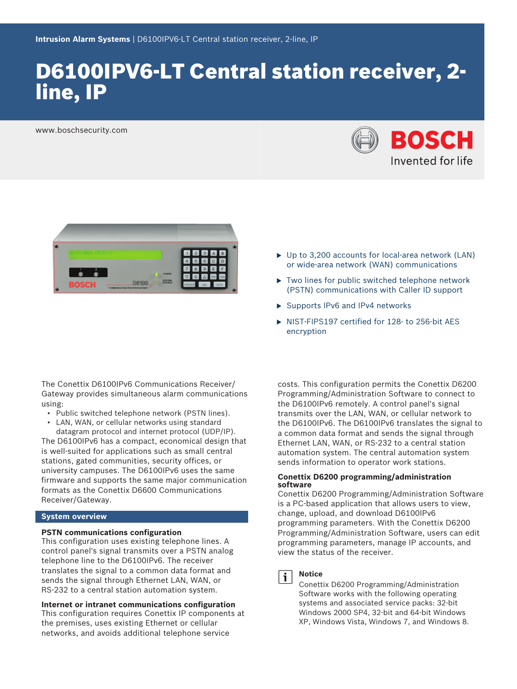# D6100IPV6-LT Central station receiver, 2 line, IP

www.boschsecurity.com





The Conettix D6100IPv6 Communications Receiver/ Gateway provides simultaneous alarm communications using:

- Public switched telephone network (PSTN lines).
- LAN, WAN, or cellular networks using standard datagram protocol and internet protocol (UDP/IP).

The D6100IPv6 has a compact, economical design that is well-suited for applications such as small central stations, gated communities, security offices, or university campuses. The D6100IPv6 uses the same firmware and supports the same major communication formats as the Conettix D6600 Communications Receiver/Gateway.

#### **System overview**

#### **PSTN communications configuration**

This configuration uses existing telephone lines. A control panel's signal transmits over a PSTN analog telephone line to the D6100IPv6. The receiver translates the signal to a common data format and sends the signal through Ethernet LAN, WAN, or RS-232 to a central station automation system.

**Internet or intranet communications configuration** This configuration requires Conettix IP components at the premises, uses existing Ethernet or cellular networks, and avoids additional telephone service

- $\triangleright$  Up to 3,200 accounts for local-area network (LAN) or wide-area network (WAN) communications
- $\blacktriangleright$  Two lines for public switched telephone network (PSTN) communications with Caller ID support
- $\triangleright$  Supports IPv6 and IPv4 networks
- $\triangleright$  NIST-FIPS197 certified for 128- to 256-bit AES encryption

costs. This configuration permits the Conettix D6200 Programming/Administration Software to connect to the D6100IPv6 remotely. A control panel's signal transmits over the LAN, WAN, or cellular network to the D6100IPv6. The D6100IPv6 translates the signal to a common data format and sends the signal through Ethernet LAN, WAN, or RS-232 to a central station automation system. The central automation system sends information to operator work stations.

#### **Conettix D6200 programming/administration software**

Conettix D6200 Programming/Administration Software is a PC-based application that allows users to view, change, upload, and download D6100IPv6 programming parameters. With the Conettix D6200 Programming/Administration Software, users can edit programming parameters, manage IP accounts, and view the status of the receiver.



### **Notice**

Conettix D6200 Programming/Administration Software works with the following operating systems and associated service packs: 32-bit Windows 2000 SP4, 32-bit and 64-bit Windows XP, Windows Vista, Windows 7, and Windows 8.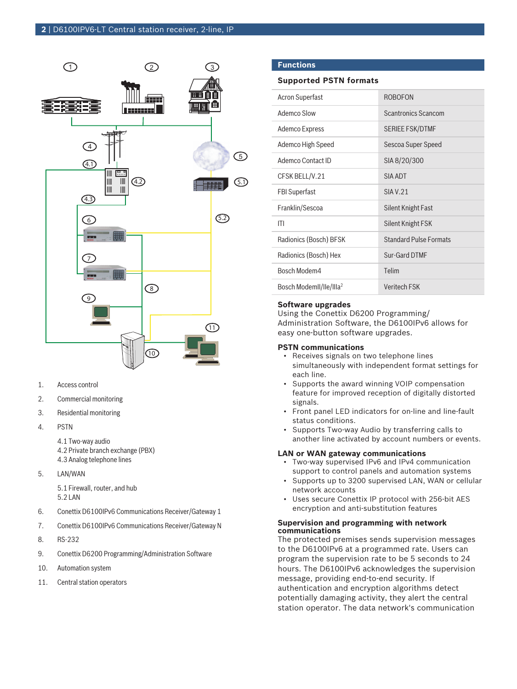

- 1. Access control
- 2. Commercial monitoring
- 3. Residential monitoring
- 4. PSTN
	- 4.1 Two-way audio
	- 4.2 Private branch exchange (PBX) 4.3 Analog telephone lines
- 5. LAN/WAN

5.1 Firewall, router, and hub 5.2 LAN

- 6. Conettix D6100IPv6 Communications Receiver/Gateway 1
- 7. Conettix D6100IPv6 Communications Receiver/Gateway N
- 8. RS-232
- 9. Conettix D6200 Programming/Administration Software
- 10. Automation system
- 11. Central station operators

#### **Functions**

#### **Supported PSTN formats**

| <b>Acron Superfast</b>              | <b>ROBOFON</b>                |
|-------------------------------------|-------------------------------|
| Ademco Slow                         | <b>Scantronics Scancom</b>    |
| Ademco Express                      | <b>SERIEE FSK/DTMF</b>        |
| Ademco High Speed                   | Sescoa Super Speed            |
| Ademco Contact ID                   | SIA 8/20/300                  |
| CFSK BELL/V.21                      | SIA ADT                       |
| <b>FBI Superfast</b>                | <b>SIA V.21</b>               |
| Franklin/Sescoa                     | Silent Knight Fast            |
| ITI                                 | Silent Knight FSK             |
| Radionics (Bosch) BFSK              | <b>Standard Pulse Formats</b> |
| Radionics (Bosch) Hex               | Sur-Gard DTMF                 |
| Bosch Modem4                        | Telim                         |
| Bosch ModemII/IIe/IIIa <sup>2</sup> | <b>Veritech FSK</b>           |

#### **Software upgrades**

Using the Conettix D6200 Programming/ Administration Software, the D6100IPv6 allows for easy one-button software upgrades.

#### **PSTN communications**

- Receives signals on two telephone lines simultaneously with independent format settings for each line.
- Supports the award winning VOIP compensation feature for improved reception of digitally distorted signals.
- Front panel LED indicators for on-line and line-fault status conditions.
- Supports Two-way Audio by transferring calls to another line activated by account numbers or events.

#### **LAN or WAN gateway communications**

- Two-way supervised IPv6 and IPv4 communication support to control panels and automation systems
- Supports up to 3200 supervised LAN, WAN or cellular network accounts
- Uses secure Conettix IP protocol with 256-bit AES encryption and anti-substitution features

#### **Supervision and programming with network communications**

The protected premises sends supervision messages to the D6100IPv6 at a programmed rate. Users can program the supervision rate to be 5 seconds to 24 hours. The D6100IPv6 acknowledges the supervision message, providing end-to-end security. If authentication and encryption algorithms detect potentially damaging activity, they alert the central station operator. The data network's communication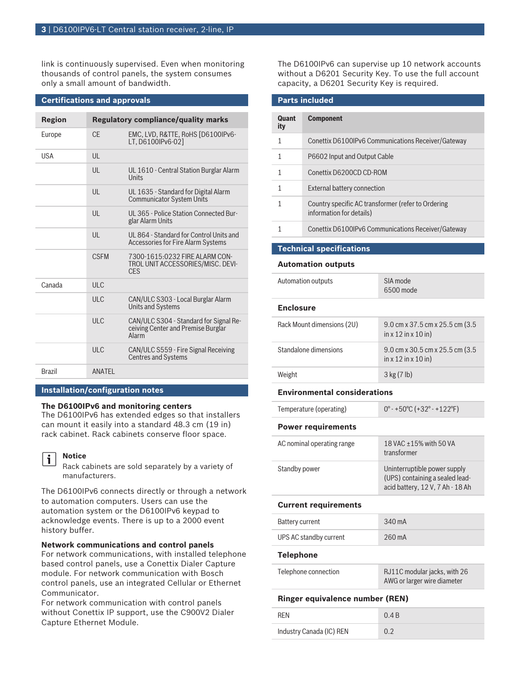link is continuously supervised. Even when monitoring thousands of control panels, the system consumes only a small amount of bandwidth.

| <b>Certifications and approvals</b>                         |                  |                                                                                       |
|-------------------------------------------------------------|------------------|---------------------------------------------------------------------------------------|
| <b>Regulatory compliance/quality marks</b><br><b>Region</b> |                  |                                                                                       |
|                                                             |                  |                                                                                       |
| Europe                                                      | $C_{\text{F}}$   | EMC, LVD, R&TTE, RoHS [D6100IPv6-<br>LT. D6100IPv6-021                                |
| <b>USA</b>                                                  | $\mathsf{U}$     |                                                                                       |
|                                                             | $\mathsf{U}$     | UL 1610 - Central Station Burglar Alarm<br>Units                                      |
|                                                             | $\mathsf{U}$     | UL 1635 - Standard for Digital Alarm<br><b>Communicator System Units</b>              |
|                                                             | $\mathsf{U}$     | UL 365 - Police Station Connected Bur-<br>glar Alarm Units                            |
|                                                             | $\mathsf{U}$     | UL 864 - Standard for Control Units and<br><b>Accessories for Fire Alarm Systems</b>  |
|                                                             | <b>CSEM</b>      | 7300-1615:0232 FIRE ALARM CON-<br>TROL UNIT ACCESSORIES/MISC. DEVI-<br><b>CFS</b>     |
| Canada                                                      | ULC              |                                                                                       |
|                                                             | ULC              | CAN/ULC S303 - Local Burglar Alarm<br><b>Units and Systems</b>                        |
|                                                             | III <sub>C</sub> | CAN/ULC S304 - Standard for Signal Re-<br>ceiving Center and Premise Burglar<br>Alarm |
|                                                             | <b>ULC</b>       | CAN/ULC S559 - Fire Signal Receiving<br><b>Centres and Systems</b>                    |
| <b>Brazil</b>                                               | <b>ANATFI</b>    |                                                                                       |

### **Installation/configuration notes**

#### **The D6100IPv6 and monitoring centers**

The D6100IPv6 has extended edges so that installers can mount it easily into a standard 48.3 cm (19 in) rack cabinet. Rack cabinets conserve floor space.

#### **Notice** i

Rack cabinets are sold separately by a variety of manufacturers.

The D6100IPv6 connects directly or through a network to automation computers. Users can use the automation system or the D6100IPv6 keypad to acknowledge events. There is up to a 2000 event history buffer.

#### **Network communications and control panels**

For network communications, with installed telephone based control panels, use a Conettix Dialer Capture module. For network communication with Bosch control panels, use an integrated Cellular or Ethernet Communicator.

For network communication with control panels without Conettix IP support, use the C900V2 Dialer Capture Ethernet Module.

The D6100IPv6 can supervise up 10 network accounts without a D6201 Security Key. To use the full account capacity, a D6201 Security Key is required.

| Parts included |                                                                                |
|----------------|--------------------------------------------------------------------------------|
|                |                                                                                |
| Quant<br>ity   | <b>Component</b>                                                               |
| 1              | Conettix D6100IPv6 Communications Receiver/Gateway                             |
| 1              | P6602 Input and Output Cable                                                   |
| 1              | Conettix D6200CD CD-ROM                                                        |
| 1              | External battery connection                                                    |
|                | Country specific AC transformer (refer to Ordering<br>information for details) |
|                |                                                                                |

#### 1 Conettix D6100IPv6 Communications Receiver/Gateway

#### **Technical specifications**

#### **Automation outputs**

**Parts included**

| Automation outputs         | SIA mode<br>6500 mode                                     |
|----------------------------|-----------------------------------------------------------|
| <b>Enclosure</b>           |                                                           |
| Rack Mount dimensions (2U) | 9.0 cm x 37.5 cm x 25.5 cm $(3.5)$<br>in x 12 in x 10 in) |
| Standalone dimensions      | 9.0 cm x 30.5 cm x 25.5 cm $(3.5)$<br>in x 12 in x 10 in) |
| Weight                     | 3 kg (7 lb)                                               |

#### **Environmental considerations**

| Temperature (operating)         | $0^{\circ}$ - +50 $^{\circ}$ C (+32 $^{\circ}$ - +122 $^{\circ}$ F)                                 |  |
|---------------------------------|-----------------------------------------------------------------------------------------------------|--|
| <b>Power requirements</b>       |                                                                                                     |  |
| AC nominal operating range      | 18 VAC $\pm$ 15% with 50 VA<br>transformer                                                          |  |
| Standby power                   | Uninterruptible power supply<br>(UPS) containing a sealed lead-<br>acid battery, 12 V, 7 Ah - 18 Ah |  |
| <b>Current requirements</b>     |                                                                                                     |  |
| <b>Battery current</b>          | 340 mA                                                                                              |  |
| UPS AC standby current          | 260 mA                                                                                              |  |
| Telephone                       |                                                                                                     |  |
| Telephone connection            | RJ11C modular jacks, with 26<br>AWG or larger wire diameter                                         |  |
| Ringer equivalence number (REN) |                                                                                                     |  |

| <b>RFN</b>               | 0.4B |
|--------------------------|------|
| Industry Canada (IC) REN | 0.2  |